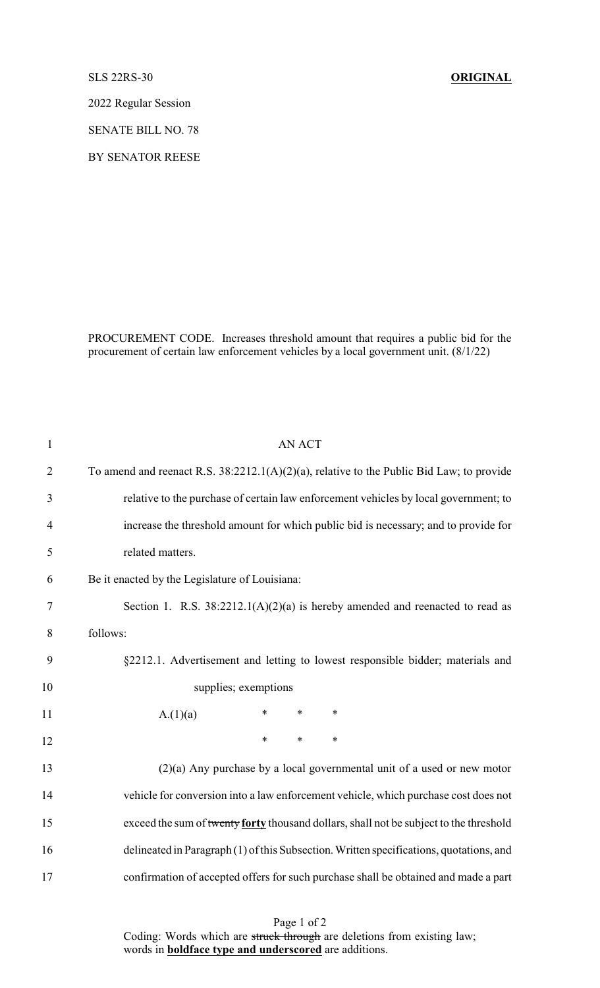SLS 22RS-30 **ORIGINAL**

2022 Regular Session

SENATE BILL NO. 78

BY SENATOR REESE

PROCUREMENT CODE. Increases threshold amount that requires a public bid for the procurement of certain law enforcement vehicles by a local government unit. (8/1/22)

| $\mathbf{1}$   | <b>AN ACT</b>                                                                            |
|----------------|------------------------------------------------------------------------------------------|
| $\overline{2}$ | To amend and reenact R.S. 38:2212.1(A)(2)(a), relative to the Public Bid Law; to provide |
| 3              | relative to the purchase of certain law enforcement vehicles by local government; to     |
| $\overline{4}$ | increase the threshold amount for which public bid is necessary; and to provide for      |
| 5              | related matters.                                                                         |
| 6              | Be it enacted by the Legislature of Louisiana:                                           |
| 7              | Section 1. R.S. $38:2212.1(A)(2)(a)$ is hereby amended and reenacted to read as          |
| 8              | follows:                                                                                 |
| 9              | §2212.1. Advertisement and letting to lowest responsible bidder; materials and           |
| 10             | supplies; exemptions                                                                     |
| 11             | $\ast$<br>$\ast$<br>∗<br>A.(1)(a)                                                        |
| 12             | $\ast$<br>*<br>$\ast$                                                                    |
| 13             | $(2)(a)$ Any purchase by a local governmental unit of a used or new motor                |
| 14             | vehicle for conversion into a law enforcement vehicle, which purchase cost does not      |
| 15             | exceed the sum of twenty forty thousand dollars, shall not be subject to the threshold   |
| 16             | delineated in Paragraph (1) of this Subsection. Written specifications, quotations, and  |
| 17             | confirmation of accepted offers for such purchase shall be obtained and made a part      |
|                |                                                                                          |

Page 1 of 2 Coding: Words which are struck through are deletions from existing law; words in **boldface type and underscored** are additions.